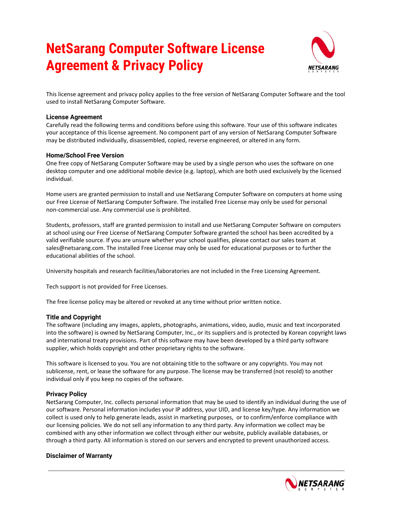# **NetSarang Computer Software License Agreement & Privacy Policy**



This license agreement and privacy policy applies to the free version of NetSarang Computer Software and the tool used to install NetSarang Computer Software.

### **License Agreement**

Carefully read the following terms and conditions before using this software. Your use of this software indicates your acceptance of this license agreement. No component part of any version of NetSarang Computer Software may be distributed individually, disassembled, copied, reverse engineered, or altered in any form.

## **Home/School Free Version**

One free copy of NetSarang Computer Software may be used by a single person who uses the software on one desktop computer and one additional mobile device (e.g. laptop), which are both used exclusively by the licensed individual.

Home users are granted permission to install and use NetSarang Computer Software on computers at home using our Free License of NetSarang Computer Software. The installed Free License may only be used for personal non-commercial use. Any commercial use is prohibited.

Students, professors, staff are granted permission to install and use NetSarang Computer Software on computers at school using our Free License of NetSarang Computer Software granted the school has been accredited by a valid verifiable source. If you are unsure whether your school qualifies, please contact our sales team at sales@netsarang.com. The installed Free License may only be used for educational purposes or to further the educational abilities of the school.

University hospitals and research facilities/laboratories are not included in the Free Licensing Agreement.

Tech support is not provided for Free Licenses.

The free license policy may be altered or revoked at any time without prior written notice.

#### **Title and Copyright**

The software (including any images, applets, photographs, animations, video, audio, music and text incorporated into the software) is owned by NetSarang Computer, Inc., or its suppliers and is protected by Korean copyright laws and international treaty provisions. Part of this software may have been developed by a third party software supplier, which holds copyright and other proprietary rights to the software.

This software is licensed to you. You are not obtaining title to the software or any copyrights. You may not sublicense, rent, or lease the software for any purpose. The license may be transferred (not resold) to another individual only if you keep no copies of the software.

#### **Privacy Policy**

NetSarang Computer, Inc. collects personal information that may be used to identify an individual during the use of our software. Personal information includes your IP address, your UID, and license key/type. Any information we collect is used only to help generate leads, assist in marketing purposes, or to confirm/enforce compliance with our licensing policies. We do not sell any information to any third party. Any information we collect may be combined with any other information we collect through either our website, publicly available databases, or through a third party. All information is stored on our servers and encrypted to prevent unauthorized access.

#### **Disclaimer of Warranty**